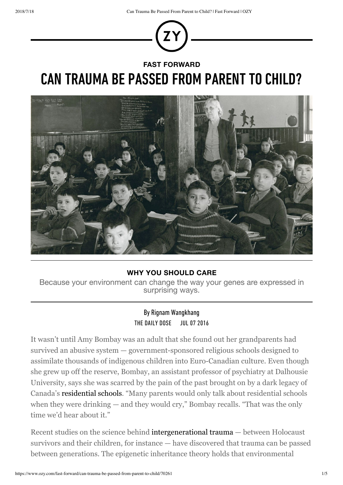

## **FAST FORWARD**

# CAN TRAUMA BE PASSED FROM PARENT TO CHILD?



### **WHY YOU SHOULD CARE**

Because your environment can change the way your genes are expressed in surprising ways.

## By Rignam Wangkhang THE DAILY DOSE JUL 07 2016

It wasn't until Amy Bombay was an adult that she found out her grandparents had survived an abusive system — government-sponsored religious schools designed to assimilate thousands of indigenous children into Euro-Canadian culture. Even though she grew up off the reserve, Bombay, an assistant professor of psychiatry at Dalhousie University, says she was scarred by the pain of the past brought on by a dark legacy of Canada's residential schools. "Many parents would only talk about residential schools when they were drinking — and they would cry," Bombay recalls. "That was the only time we'd hear about it."

Recent studies on the science behind intergenerational trauma — between Holocaust survivors and their children, for instance — have discovered that trauma can be passed between generations. The epigenetic inheritance theory holds that environmental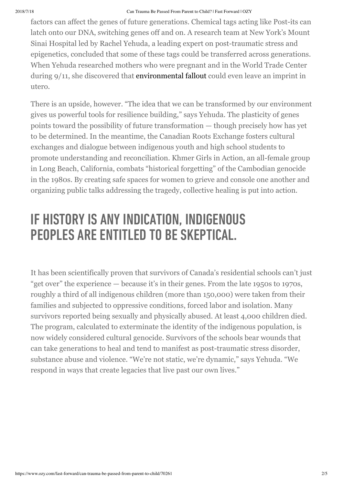#### 2018/7/18 Can Trauma Be Passed From Parent to Child? | Fast Forward | OZY

factors can affect the genes of future generations. Chemical tags acting like Post-its can latch onto our DNA, switching genes off and on. A research team at New York's Mount Sinai Hospital led by Rachel Yehuda, a leading expert on post-traumatic stress and epigenetics, concluded that some of these tags could be transferred across generations. When Yehuda researched mothers who were pregnant and in the World Trade Center during 9/11, she discovered that environmental fallout could even leave an imprint in utero.

There is an upside, however. "The idea that we can be transformed by our environment gives us powerful tools for resilience building," says Yehuda. The plasticity of genes points toward the possibility of future transformation — though precisely how has yet to be determined. In the meantime, the Canadian Roots Exchange fosters cultural exchanges and dialogue between indigenous youth and high school students to promote understanding and reconciliation. Khmer Girls in Action, an all-female group in Long Beach, California, combats "historical forgetting" of the Cambodian genocide in the 1980s. By creating safe spaces for women to grieve and console one another and organizing public talks addressing the tragedy, collective healing is put into action.

# IF HISTORY IS ANY INDICATION, INDIGENOUS PEOPLES ARE ENTITLED TO BE SKEPTICAL.

It has been scientifically proven that survivors of Canada's residential schools can't just "get over" the experience — because it's in their genes. From the late 1950s to 1970s, roughly a third of all indigenous children (more than 150,000) were taken from their families and subjected to oppressive conditions, forced labor and isolation. Many survivors reported being sexually and physically abused. At least 4,000 children died. The program, calculated to exterminate the identity of the indigenous population, is now widely considered cultural genocide. Survivors of the schools bear wounds that can take generations to heal and tend to manifest as post-traumatic stress disorder, substance abuse and violence. "We're not static, we're dynamic," says Yehuda. "We respond in ways that create legacies that live past our own lives."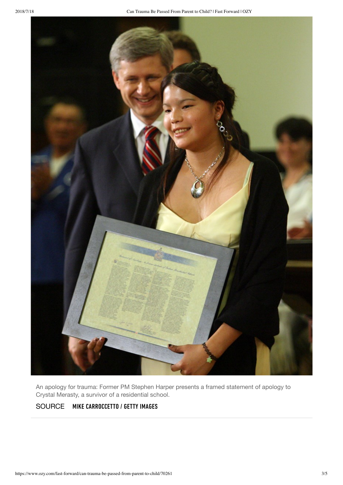

An apology for trauma: Former PM Stephen Harper presents a framed statement of apology to Crystal Merasty, a survivor of a residential school.

### SOURCE MIKE CARROCCETTO / GETTY IMAGES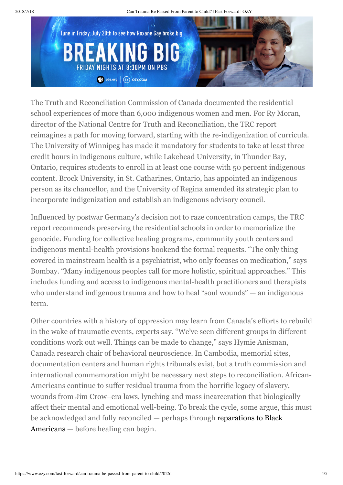2018/7/18 Can Trauma Be Passed From Parent to Child? | Fast Forward | OZY



The Truth and Reconciliation Commission of Canada documented the residential school experiences of more than 6,000 indigenous women and men. For Ry Moran, director of the National Centre for Truth and Reconciliation, the TRC report reimagines a path for moving forward, starting with the re-indigenization of curricula. The University of Winnipeg has made it mandatory for students to take at least three credit hours in indigenous culture, while Lakehead University, in Thunder Bay, Ontario, requires students to enroll in at least one course with 50 percent indigenous content. Brock University, in St. Catharines, Ontario, has appointed an indigenous person as its chancellor, and the University of Regina amended its strategic plan to incorporate indigenization and establish an indigenous advisory council.

Influenced by postwar Germany's decision not to raze concentration camps, the TRC report recommends preserving the residential schools in order to memorialize the genocide. Funding for collective healing programs, community youth centers and indigenous mental-health provisions bookend the formal requests. "The only thing covered in mainstream health is a psychiatrist, who only focuses on medication," says Bombay. "Many indigenous peoples call for more holistic, spiritual approaches." This includes funding and access to indigenous mental-health practitioners and therapists who understand indigenous trauma and how to heal "soul wounds" — an indigenous term.

Other countries with a history of oppression may learn from Canada's efforts to rebuild in the wake of traumatic events, experts say. "We've seen different groups in different conditions work out well. Things can be made to change," says Hymie Anisman, Canada research chair of behavioral neuroscience. In Cambodia, memorial sites, documentation centers and human rights tribunals exist, but a truth commission and international commemoration might be necessary next steps to reconciliation. African-Americans continue to suffer residual trauma from the horrific legacy of slavery, wounds from Jim Crow–era laws, lynching and mass incarceration that biologically affect their mental and emotional well-being. To break the cycle, some argue, this must be acknowledged and fully reconciled — perhaps through reparations to Black Americans — before healing can begin.